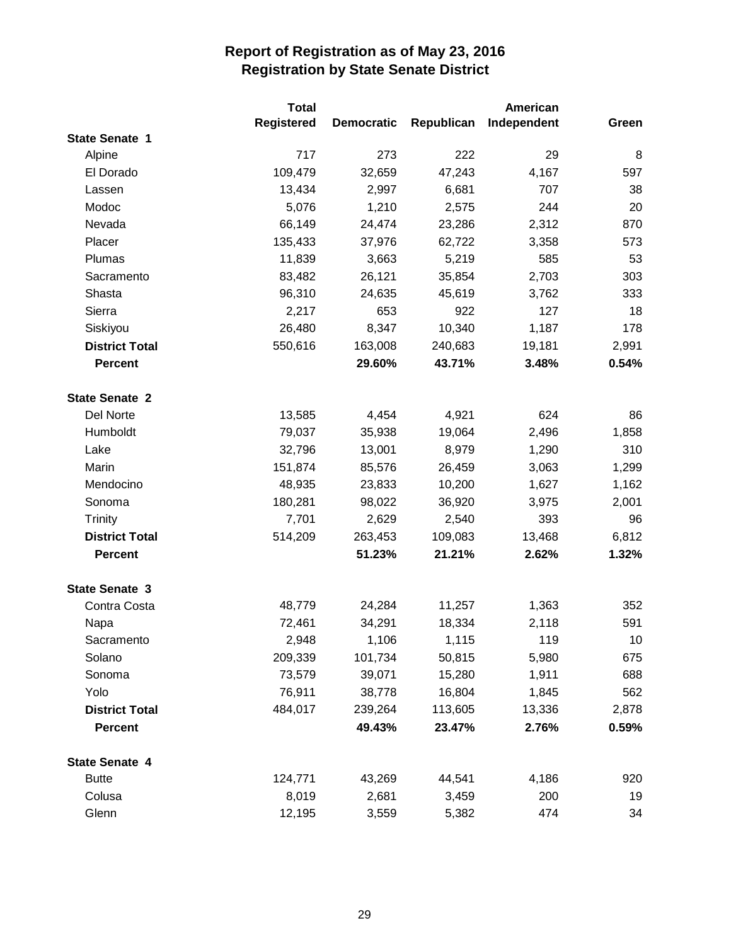|                       | <b>Total</b> |                   |            | American    |       |
|-----------------------|--------------|-------------------|------------|-------------|-------|
|                       | Registered   | <b>Democratic</b> | Republican | Independent | Green |
| <b>State Senate 1</b> |              |                   |            |             |       |
| Alpine                | 717          | 273               | 222        | 29          | 8     |
| El Dorado             | 109,479      | 32,659            | 47,243     | 4,167       | 597   |
| Lassen                | 13,434       | 2,997             | 6,681      | 707         | 38    |
| Modoc                 | 5,076        | 1,210             | 2,575      | 244         | 20    |
| Nevada                | 66,149       | 24,474            | 23,286     | 2,312       | 870   |
| Placer                | 135,433      | 37,976            | 62,722     | 3,358       | 573   |
| Plumas                | 11,839       | 3,663             | 5,219      | 585         | 53    |
| Sacramento            | 83,482       | 26,121            | 35,854     | 2,703       | 303   |
| Shasta                | 96,310       | 24,635            | 45,619     | 3,762       | 333   |
| Sierra                | 2,217        | 653               | 922        | 127         | 18    |
| Siskiyou              | 26,480       | 8,347             | 10,340     | 1,187       | 178   |
| <b>District Total</b> | 550,616      | 163,008           | 240,683    | 19,181      | 2,991 |
| <b>Percent</b>        |              | 29.60%            | 43.71%     | 3.48%       | 0.54% |
| <b>State Senate 2</b> |              |                   |            |             |       |
| Del Norte             | 13,585       | 4,454             | 4,921      | 624         | 86    |
| Humboldt              | 79,037       | 35,938            | 19,064     | 2,496       | 1,858 |
| Lake                  | 32,796       | 13,001            | 8,979      | 1,290       | 310   |
| Marin                 | 151,874      | 85,576            | 26,459     | 3,063       | 1,299 |
| Mendocino             | 48,935       | 23,833            | 10,200     | 1,627       | 1,162 |
| Sonoma                | 180,281      | 98,022            | 36,920     | 3,975       | 2,001 |
| <b>Trinity</b>        | 7,701        | 2,629             | 2,540      | 393         | 96    |
| <b>District Total</b> | 514,209      | 263,453           | 109,083    | 13,468      | 6,812 |
| <b>Percent</b>        |              | 51.23%            | 21.21%     | 2.62%       | 1.32% |
| <b>State Senate 3</b> |              |                   |            |             |       |
| Contra Costa          | 48,779       | 24,284            | 11,257     | 1,363       | 352   |
| Napa                  | 72,461       | 34,291            | 18,334     | 2,118       | 591   |
| Sacramento            | 2,948        | 1,106             | 1,115      | 119         | 10    |
| Solano                | 209,339      | 101,734           | 50,815     | 5,980       | 675   |
| Sonoma                | 73,579       | 39,071            | 15,280     | 1,911       | 688   |
| Yolo                  | 76,911       | 38,778            | 16,804     | 1,845       | 562   |
| <b>District Total</b> | 484,017      | 239,264           | 113,605    | 13,336      | 2,878 |
| <b>Percent</b>        |              | 49.43%            | 23.47%     | 2.76%       | 0.59% |
| <b>State Senate 4</b> |              |                   |            |             |       |
| <b>Butte</b>          | 124,771      | 43,269            | 44,541     | 4,186       | 920   |
| Colusa                | 8,019        | 2,681             | 3,459      | 200         | 19    |
| Glenn                 | 12,195       | 3,559             | 5,382      | 474         | 34    |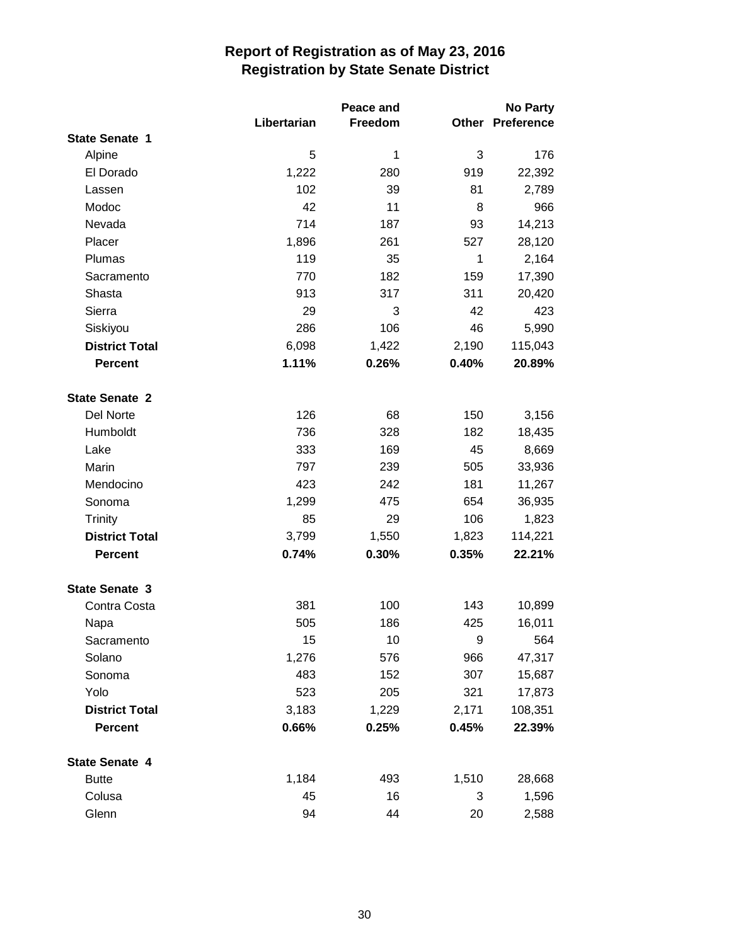|                       |             | Peace and |       | <b>No Party</b>         |  |
|-----------------------|-------------|-----------|-------|-------------------------|--|
|                       | Libertarian | Freedom   |       | <b>Other Preference</b> |  |
| <b>State Senate 1</b> |             |           |       |                         |  |
| Alpine                | 5           | 1         | 3     | 176                     |  |
| El Dorado             | 1,222       | 280       | 919   | 22,392                  |  |
| Lassen                | 102         | 39        | 81    | 2,789                   |  |
| Modoc                 | 42          | 11        | 8     | 966                     |  |
| Nevada                | 714         | 187       | 93    | 14,213                  |  |
| Placer                | 1,896       | 261       | 527   | 28,120                  |  |
| Plumas                | 119         | 35        | 1     | 2,164                   |  |
| Sacramento            | 770         | 182       | 159   | 17,390                  |  |
| Shasta                | 913         | 317       | 311   | 20,420                  |  |
| Sierra                | 29          | 3         | 42    | 423                     |  |
| Siskiyou              | 286         | 106       | 46    | 5,990                   |  |
| <b>District Total</b> | 6,098       | 1,422     | 2,190 | 115,043                 |  |
| <b>Percent</b>        | 1.11%       | 0.26%     | 0.40% | 20.89%                  |  |
| <b>State Senate 2</b> |             |           |       |                         |  |
| Del Norte             | 126         | 68        | 150   | 3,156                   |  |
| Humboldt              | 736         | 328       | 182   | 18,435                  |  |
| Lake                  | 333         | 169       | 45    | 8,669                   |  |
| Marin                 | 797         | 239       | 505   | 33,936                  |  |
| Mendocino             | 423         | 242       | 181   | 11,267                  |  |
| Sonoma                | 1,299       | 475       | 654   | 36,935                  |  |
| Trinity               | 85          | 29        | 106   | 1,823                   |  |
| <b>District Total</b> | 3,799       | 1,550     | 1,823 | 114,221                 |  |
| <b>Percent</b>        | 0.74%       | 0.30%     | 0.35% | 22.21%                  |  |
| <b>State Senate 3</b> |             |           |       |                         |  |
| Contra Costa          | 381         | 100       | 143   | 10,899                  |  |
| Napa                  | 505         | 186       | 425   | 16,011                  |  |
| Sacramento            | 15          | 10        | 9     | 564                     |  |
| Solano                | 1,276       | 576       | 966   | 47,317                  |  |
| Sonoma                | 483         | 152       | 307   | 15,687                  |  |
| Yolo                  | 523         | 205       | 321   | 17,873                  |  |
| <b>District Total</b> | 3,183       | 1,229     | 2,171 | 108,351                 |  |
| Percent               | 0.66%       | 0.25%     | 0.45% | 22.39%                  |  |
| <b>State Senate 4</b> |             |           |       |                         |  |
| <b>Butte</b>          | 1,184       | 493       | 1,510 | 28,668                  |  |
| Colusa                | 45          | 16        | 3     | 1,596                   |  |
| Glenn                 | 94          | 44        | 20    | 2,588                   |  |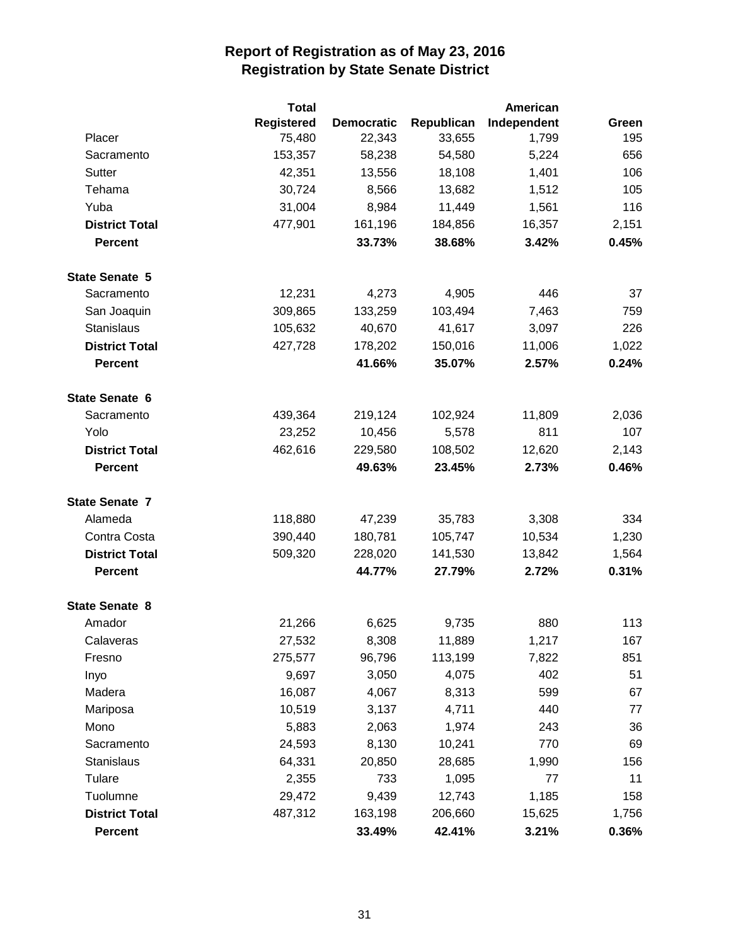|                       | <b>Total</b>      |                   |            | <b>American</b> |       |
|-----------------------|-------------------|-------------------|------------|-----------------|-------|
|                       | <b>Registered</b> | <b>Democratic</b> | Republican | Independent     | Green |
| Placer                | 75,480            | 22,343            | 33,655     | 1,799           | 195   |
| Sacramento            | 153,357           | 58,238            | 54,580     | 5,224           | 656   |
| Sutter                | 42,351            | 13,556            | 18,108     | 1,401           | 106   |
| Tehama                | 30,724            | 8,566             | 13,682     | 1,512           | 105   |
| Yuba                  | 31,004            | 8,984             | 11,449     | 1,561           | 116   |
| <b>District Total</b> | 477,901           | 161,196           | 184,856    | 16,357          | 2,151 |
| <b>Percent</b>        |                   | 33.73%            | 38.68%     | 3.42%           | 0.45% |
| <b>State Senate 5</b> |                   |                   |            |                 |       |
| Sacramento            | 12,231            | 4,273             | 4,905      | 446             | 37    |
| San Joaquin           | 309,865           | 133,259           | 103,494    | 7,463           | 759   |
| <b>Stanislaus</b>     | 105,632           | 40,670            | 41,617     | 3,097           | 226   |
| <b>District Total</b> | 427,728           | 178,202           | 150,016    | 11,006          | 1,022 |
| <b>Percent</b>        |                   | 41.66%            | 35.07%     | 2.57%           | 0.24% |
| <b>State Senate 6</b> |                   |                   |            |                 |       |
| Sacramento            | 439,364           | 219,124           | 102,924    | 11,809          | 2,036 |
| Yolo                  | 23,252            | 10,456            | 5,578      | 811             | 107   |
| <b>District Total</b> | 462,616           | 229,580           | 108,502    | 12,620          | 2,143 |
| <b>Percent</b>        |                   | 49.63%            | 23.45%     | 2.73%           | 0.46% |
| <b>State Senate 7</b> |                   |                   |            |                 |       |
| Alameda               | 118,880           | 47,239            | 35,783     | 3,308           | 334   |
| Contra Costa          | 390,440           | 180,781           | 105,747    | 10,534          | 1,230 |
| <b>District Total</b> | 509,320           | 228,020           | 141,530    | 13,842          | 1,564 |
| <b>Percent</b>        |                   | 44.77%            | 27.79%     | 2.72%           | 0.31% |
| <b>State Senate 8</b> |                   |                   |            |                 |       |
| Amador                | 21,266            | 6,625             | 9,735      | 880             | 113   |
| Calaveras             | 27,532            | 8,308             | 11,889     | 1,217           | 167   |
| Fresno                | 275,577           | 96,796            | 113,199    | 7,822           | 851   |
| Inyo                  | 9,697             | 3,050             | 4,075      | 402             | 51    |
| Madera                | 16,087            | 4,067             | 8,313      | 599             | 67    |
| Mariposa              | 10,519            | 3,137             | 4,711      | 440             | 77    |
| Mono                  | 5,883             | 2,063             | 1,974      | 243             | 36    |
| Sacramento            | 24,593            | 8,130             | 10,241     | 770             | 69    |
| Stanislaus            | 64,331            | 20,850            | 28,685     | 1,990           | 156   |
| Tulare                | 2,355             | 733               | 1,095      | 77              | 11    |
| Tuolumne              | 29,472            | 9,439             | 12,743     | 1,185           | 158   |
| <b>District Total</b> | 487,312           | 163,198           | 206,660    | 15,625          | 1,756 |
| <b>Percent</b>        |                   | 33.49%            | 42.41%     | 3.21%           | 0.36% |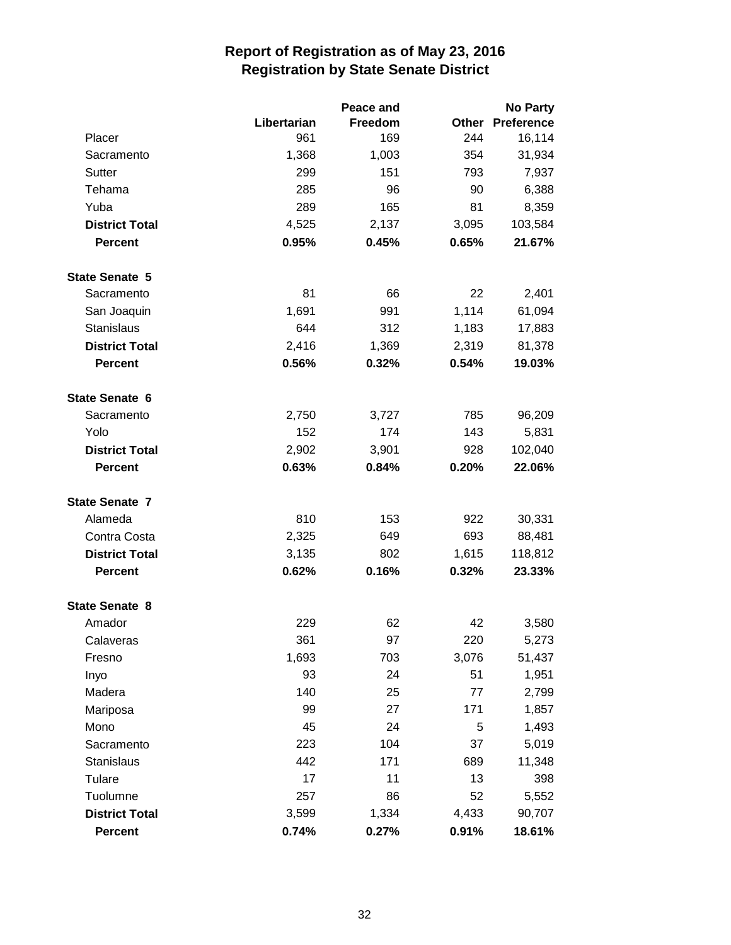|                       |             | Peace and |       | <b>No Party</b>   |
|-----------------------|-------------|-----------|-------|-------------------|
|                       | Libertarian | Freedom   | Other | <b>Preference</b> |
| Placer                | 961         | 169       | 244   | 16,114            |
| Sacramento            | 1,368       | 1,003     | 354   | 31,934            |
| Sutter                | 299         | 151       | 793   | 7,937             |
| Tehama                | 285         | 96        | 90    | 6,388             |
| Yuba                  | 289         | 165       | 81    | 8,359             |
| <b>District Total</b> | 4,525       | 2,137     | 3,095 | 103,584           |
| <b>Percent</b>        | 0.95%       | 0.45%     | 0.65% | 21.67%            |
| <b>State Senate 5</b> |             |           |       |                   |
| Sacramento            | 81          | 66        | 22    | 2,401             |
| San Joaquin           | 1,691       | 991       | 1,114 | 61,094            |
| <b>Stanislaus</b>     | 644         | 312       | 1,183 | 17,883            |
| <b>District Total</b> | 2,416       | 1,369     | 2,319 | 81,378            |
| <b>Percent</b>        | 0.56%       | 0.32%     | 0.54% | 19.03%            |
| <b>State Senate 6</b> |             |           |       |                   |
| Sacramento            | 2,750       | 3,727     | 785   | 96,209            |
| Yolo                  | 152         | 174       | 143   | 5,831             |
| <b>District Total</b> | 2,902       | 3,901     | 928   | 102,040           |
| <b>Percent</b>        | 0.63%       | 0.84%     | 0.20% | 22.06%            |
| <b>State Senate 7</b> |             |           |       |                   |
| Alameda               | 810         | 153       | 922   | 30,331            |
| Contra Costa          | 2,325       | 649       | 693   | 88,481            |
| <b>District Total</b> | 3,135       | 802       | 1,615 | 118,812           |
| <b>Percent</b>        | 0.62%       | 0.16%     | 0.32% | 23.33%            |
| <b>State Senate 8</b> |             |           |       |                   |
| Amador                | 229         | 62        | 42    | 3,580             |
| Calaveras             | 361         | 97        | 220   | 5,273             |
| Fresno                | 1,693       | 703       | 3,076 | 51,437            |
| Inyo                  | 93          | 24        | 51    | 1,951             |
| Madera                | 140         | 25        | 77    | 2,799             |
| Mariposa              | 99          | 27        | 171   | 1,857             |
| Mono                  | 45          | 24        | 5     | 1,493             |
| Sacramento            | 223         | 104       | 37    | 5,019             |
| Stanislaus            | 442         | 171       | 689   | 11,348            |
| Tulare                | 17          | 11        | 13    | 398               |
| Tuolumne              | 257         | 86        | 52    | 5,552             |
| <b>District Total</b> | 3,599       | 1,334     | 4,433 | 90,707            |
| Percent               | 0.74%       | 0.27%     | 0.91% | 18.61%            |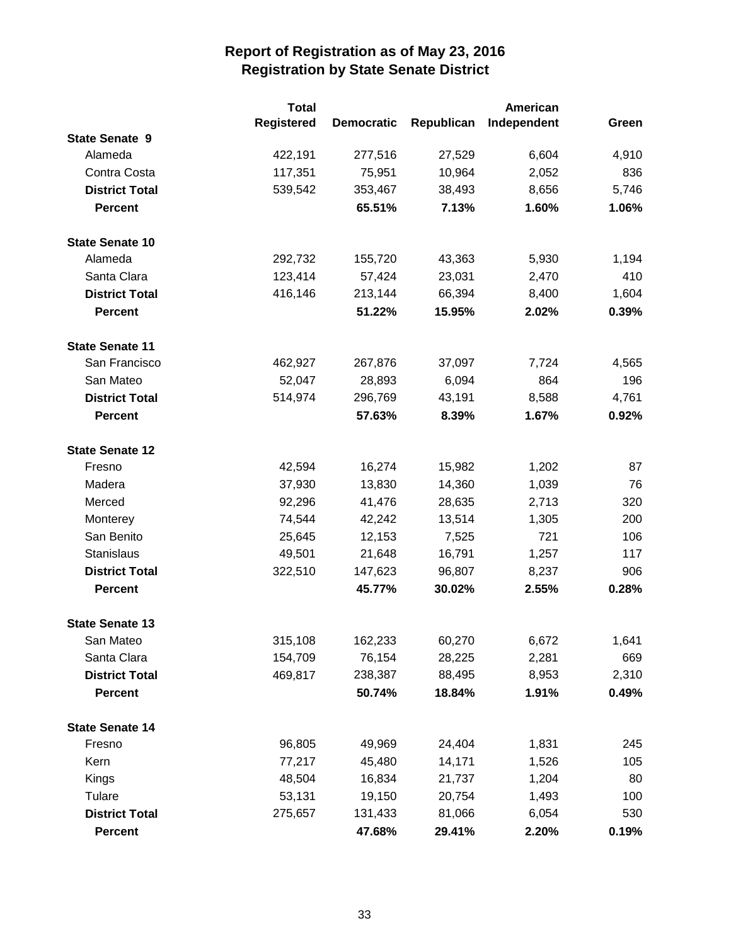|                        | <b>Total</b>      |                   |            | <b>American</b> |       |
|------------------------|-------------------|-------------------|------------|-----------------|-------|
|                        | <b>Registered</b> | <b>Democratic</b> | Republican | Independent     | Green |
| <b>State Senate 9</b>  |                   |                   |            |                 |       |
| Alameda                | 422,191           | 277,516           | 27,529     | 6,604           | 4,910 |
| Contra Costa           | 117,351           | 75,951            | 10,964     | 2,052           | 836   |
| <b>District Total</b>  | 539,542           | 353,467           | 38,493     | 8,656           | 5,746 |
| <b>Percent</b>         |                   | 65.51%            | 7.13%      | 1.60%           | 1.06% |
| <b>State Senate 10</b> |                   |                   |            |                 |       |
| Alameda                | 292,732           | 155,720           | 43,363     | 5,930           | 1,194 |
| Santa Clara            | 123,414           | 57,424            | 23,031     | 2,470           | 410   |
| <b>District Total</b>  | 416,146           | 213,144           | 66,394     | 8,400           | 1,604 |
| <b>Percent</b>         |                   | 51.22%            | 15.95%     | 2.02%           | 0.39% |
| <b>State Senate 11</b> |                   |                   |            |                 |       |
| San Francisco          | 462,927           | 267,876           | 37,097     | 7,724           | 4,565 |
| San Mateo              | 52,047            | 28,893            | 6,094      | 864             | 196   |
| <b>District Total</b>  | 514,974           | 296,769           | 43,191     | 8,588           | 4,761 |
| <b>Percent</b>         |                   | 57.63%            | 8.39%      | 1.67%           | 0.92% |
| <b>State Senate 12</b> |                   |                   |            |                 |       |
| Fresno                 | 42,594            | 16,274            | 15,982     | 1,202           | 87    |
| Madera                 | 37,930            | 13,830            | 14,360     | 1,039           | 76    |
| Merced                 | 92,296            | 41,476            | 28,635     | 2,713           | 320   |
| Monterey               | 74,544            | 42,242            | 13,514     | 1,305           | 200   |
| San Benito             | 25,645            | 12,153            | 7,525      | 721             | 106   |
| Stanislaus             | 49,501            | 21,648            | 16,791     | 1,257           | 117   |
| <b>District Total</b>  | 322,510           | 147,623           | 96,807     | 8,237           | 906   |
| <b>Percent</b>         |                   | 45.77%            | 30.02%     | 2.55%           | 0.28% |
| <b>State Senate 13</b> |                   |                   |            |                 |       |
| San Mateo              | 315,108           | 162,233           | 60,270     | 6,672           | 1,641 |
| Santa Clara            | 154,709           | 76,154            | 28,225     | 2,281           | 669   |
| <b>District Total</b>  | 469,817           | 238,387           | 88,495     | 8,953           | 2,310 |
| <b>Percent</b>         |                   | 50.74%            | 18.84%     | 1.91%           | 0.49% |
| <b>State Senate 14</b> |                   |                   |            |                 |       |
| Fresno                 | 96,805            | 49,969            | 24,404     | 1,831           | 245   |
| Kern                   | 77,217            | 45,480            | 14,171     | 1,526           | 105   |
| Kings                  | 48,504            | 16,834            | 21,737     | 1,204           | 80    |
| Tulare                 | 53,131            | 19,150            | 20,754     | 1,493           | 100   |
| <b>District Total</b>  | 275,657           | 131,433           | 81,066     | 6,054           | 530   |
| <b>Percent</b>         |                   | 47.68%            | 29.41%     | 2.20%           | 0.19% |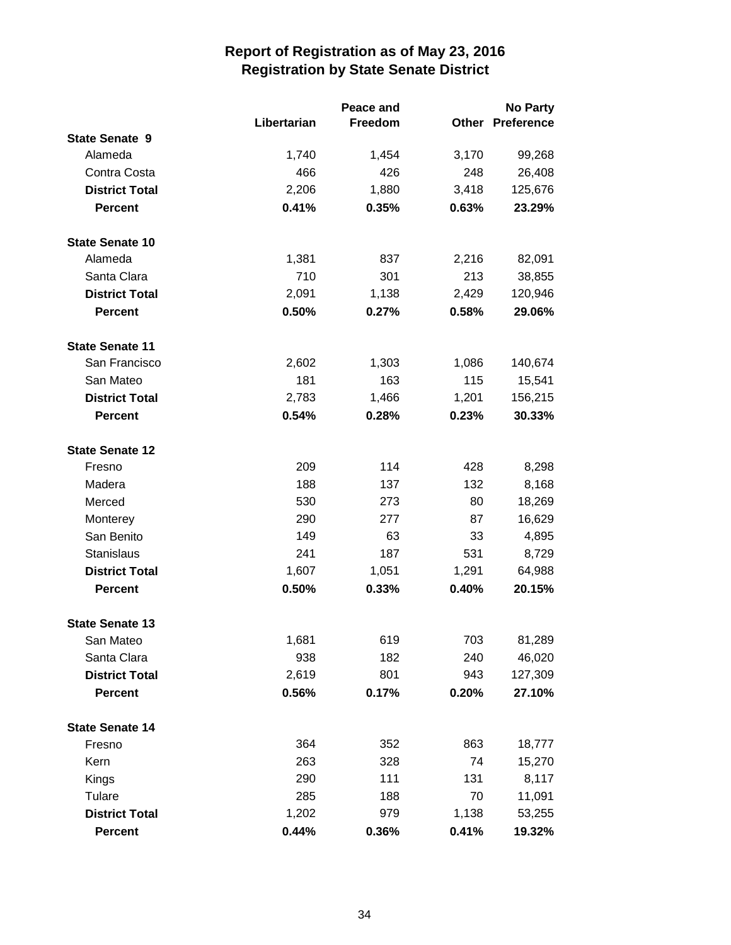|                        |             | Peace and |              | <b>No Party</b>   |
|------------------------|-------------|-----------|--------------|-------------------|
|                        | Libertarian | Freedom   | <b>Other</b> | <b>Preference</b> |
| <b>State Senate 9</b>  |             |           |              |                   |
| Alameda                | 1,740       | 1,454     | 3,170        | 99,268            |
| Contra Costa           | 466         | 426       | 248          | 26,408            |
| <b>District Total</b>  | 2,206       | 1,880     | 3,418        | 125,676           |
| <b>Percent</b>         | 0.41%       | 0.35%     | 0.63%        | 23.29%            |
| <b>State Senate 10</b> |             |           |              |                   |
| Alameda                | 1,381       | 837       | 2,216        | 82,091            |
| Santa Clara            | 710         | 301       | 213          | 38,855            |
| <b>District Total</b>  | 2,091       | 1,138     | 2,429        | 120,946           |
| <b>Percent</b>         | 0.50%       | 0.27%     | 0.58%        | 29.06%            |
| <b>State Senate 11</b> |             |           |              |                   |
| San Francisco          | 2,602       | 1,303     | 1,086        | 140,674           |
| San Mateo              | 181         | 163       | 115          | 15,541            |
| <b>District Total</b>  | 2,783       | 1,466     | 1,201        | 156,215           |
| <b>Percent</b>         | 0.54%       | 0.28%     | 0.23%        | 30.33%            |
| <b>State Senate 12</b> |             |           |              |                   |
| Fresno                 | 209         | 114       | 428          | 8,298             |
| Madera                 | 188         | 137       | 132          | 8,168             |
| Merced                 | 530         | 273       | 80           | 18,269            |
| Monterey               | 290         | 277       | 87           | 16,629            |
| San Benito             | 149         | 63        | 33           | 4,895             |
| <b>Stanislaus</b>      | 241         | 187       | 531          | 8,729             |
| <b>District Total</b>  | 1,607       | 1,051     | 1,291        | 64,988            |
| <b>Percent</b>         | 0.50%       | 0.33%     | 0.40%        | 20.15%            |
| <b>State Senate 13</b> |             |           |              |                   |
| San Mateo              | 1,681       | 619       | 703          | 81,289            |
| Santa Clara            | 938         | 182       | 240          | 46,020            |
| <b>District Total</b>  | 2,619       | 801       | 943          | 127,309           |
| <b>Percent</b>         | 0.56%       | 0.17%     | 0.20%        | 27.10%            |
| <b>State Senate 14</b> |             |           |              |                   |
| Fresno                 | 364         | 352       | 863          | 18,777            |
| Kern                   | 263         | 328       | 74           | 15,270            |
| <b>Kings</b>           | 290         | 111       | 131          | 8,117             |
| Tulare                 | 285         | 188       | 70           | 11,091            |
| <b>District Total</b>  | 1,202       | 979       | 1,138        | 53,255            |
| Percent                | 0.44%       | 0.36%     | 0.41%        | 19.32%            |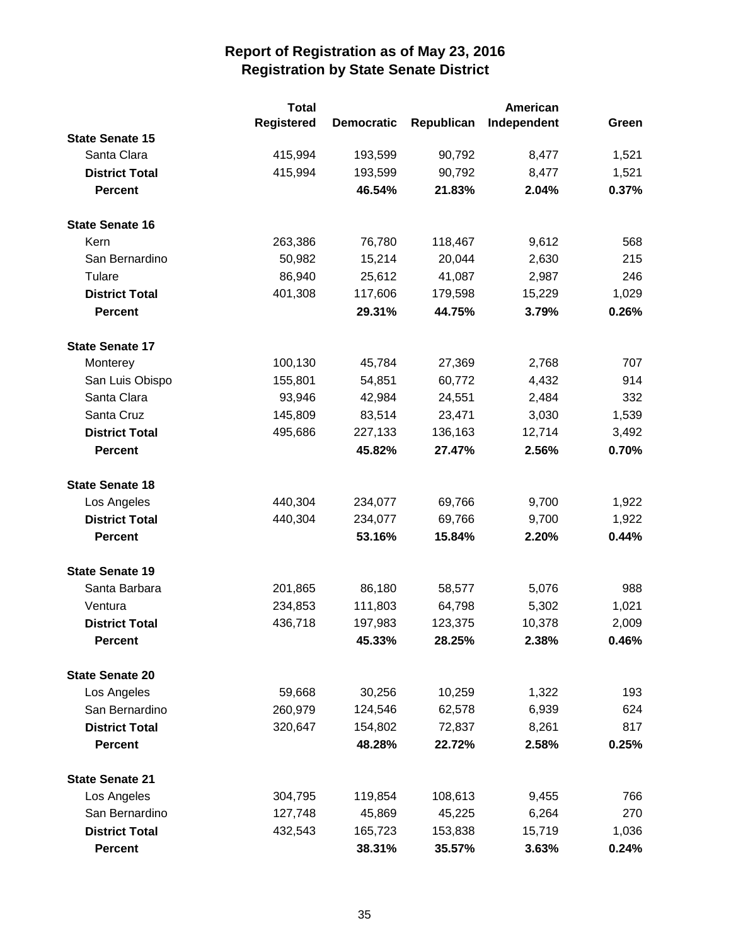|                        | <b>Total</b>      |                   |            |             |       |
|------------------------|-------------------|-------------------|------------|-------------|-------|
|                        | <b>Registered</b> | <b>Democratic</b> | Republican | Independent | Green |
| <b>State Senate 15</b> |                   |                   |            |             |       |
| Santa Clara            | 415,994           | 193,599           | 90,792     | 8,477       | 1,521 |
| <b>District Total</b>  | 415,994           | 193,599           | 90,792     | 8,477       | 1,521 |
| <b>Percent</b>         |                   | 46.54%            | 21.83%     | 2.04%       | 0.37% |
| <b>State Senate 16</b> |                   |                   |            |             |       |
| Kern                   | 263,386           | 76,780            | 118,467    | 9,612       | 568   |
| San Bernardino         | 50,982            | 15,214            | 20,044     | 2,630       | 215   |
| Tulare                 | 86,940            | 25,612            | 41,087     | 2,987       | 246   |
| <b>District Total</b>  | 401,308           | 117,606           | 179,598    | 15,229      | 1,029 |
| <b>Percent</b>         |                   | 29.31%            | 44.75%     | 3.79%       | 0.26% |
| <b>State Senate 17</b> |                   |                   |            |             |       |
| Monterey               | 100,130           | 45,784            | 27,369     | 2,768       | 707   |
| San Luis Obispo        | 155,801           | 54,851            | 60,772     | 4,432       | 914   |
| Santa Clara            | 93,946            | 42,984            | 24,551     | 2,484       | 332   |
| Santa Cruz             | 145,809           | 83,514            | 23,471     | 3,030       | 1,539 |
| <b>District Total</b>  | 495,686           | 227,133           | 136,163    | 12,714      | 3,492 |
| <b>Percent</b>         |                   | 45.82%            | 27.47%     | 2.56%       | 0.70% |
| <b>State Senate 18</b> |                   |                   |            |             |       |
| Los Angeles            | 440,304           | 234,077           | 69,766     | 9,700       | 1,922 |
| <b>District Total</b>  | 440,304           | 234,077           | 69,766     | 9,700       | 1,922 |
| <b>Percent</b>         |                   | 53.16%            | 15.84%     | 2.20%       | 0.44% |
| <b>State Senate 19</b> |                   |                   |            |             |       |
| Santa Barbara          | 201,865           | 86,180            | 58,577     | 5,076       | 988   |
| Ventura                | 234,853           | 111,803           | 64,798     | 5,302       | 1,021 |
| <b>District Total</b>  | 436,718           | 197,983           | 123,375    | 10,378      | 2,009 |
| <b>Percent</b>         |                   | 45.33%            | 28.25%     | 2.38%       | 0.46% |
| <b>State Senate 20</b> |                   |                   |            |             |       |
| Los Angeles            | 59,668            | 30,256            | 10,259     | 1,322       | 193   |
| San Bernardino         | 260,979           | 124,546           | 62,578     | 6,939       | 624   |
| <b>District Total</b>  | 320,647           | 154,802           | 72,837     | 8,261       | 817   |
| <b>Percent</b>         |                   | 48.28%            | 22.72%     | 2.58%       | 0.25% |
| <b>State Senate 21</b> |                   |                   |            |             |       |
| Los Angeles            | 304,795           | 119,854           | 108,613    | 9,455       | 766   |
| San Bernardino         | 127,748           | 45,869            | 45,225     | 6,264       | 270   |
| <b>District Total</b>  | 432,543           | 165,723           | 153,838    | 15,719      | 1,036 |
| <b>Percent</b>         |                   | 38.31%            | 35.57%     | 3.63%       | 0.24% |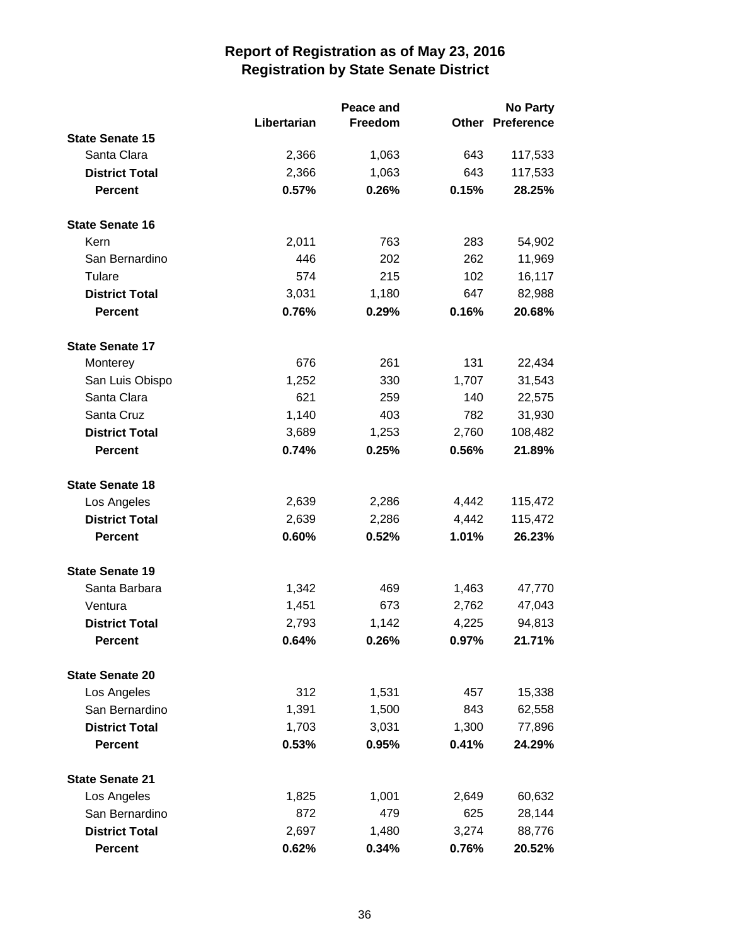|                        |             | Peace and |              | <b>No Party</b>   |  |
|------------------------|-------------|-----------|--------------|-------------------|--|
|                        | Libertarian | Freedom   | <b>Other</b> | <b>Preference</b> |  |
| <b>State Senate 15</b> |             |           |              |                   |  |
| Santa Clara            | 2,366       | 1,063     | 643          | 117,533           |  |
| <b>District Total</b>  | 2,366       | 1,063     | 643          | 117,533           |  |
| <b>Percent</b>         | 0.57%       | 0.26%     | 0.15%        | 28.25%            |  |
| <b>State Senate 16</b> |             |           |              |                   |  |
| Kern                   | 2,011       | 763       | 283          | 54,902            |  |
| San Bernardino         | 446         | 202       | 262          | 11,969            |  |
| Tulare                 | 574         | 215       | 102          | 16,117            |  |
| <b>District Total</b>  | 3,031       | 1,180     | 647          | 82,988            |  |
| <b>Percent</b>         | 0.76%       | 0.29%     | 0.16%        | 20.68%            |  |
| <b>State Senate 17</b> |             |           |              |                   |  |
| Monterey               | 676         | 261       | 131          | 22,434            |  |
| San Luis Obispo        | 1,252       | 330       | 1,707        | 31,543            |  |
| Santa Clara            | 621         | 259       | 140          | 22,575            |  |
| Santa Cruz             | 1,140       | 403       | 782          | 31,930            |  |
| <b>District Total</b>  | 3,689       | 1,253     | 2,760        | 108,482           |  |
| <b>Percent</b>         | 0.74%       | 0.25%     | 0.56%        | 21.89%            |  |
| <b>State Senate 18</b> |             |           |              |                   |  |
| Los Angeles            | 2,639       | 2,286     | 4,442        | 115,472           |  |
| <b>District Total</b>  | 2,639       | 2,286     | 4,442        | 115,472           |  |
| <b>Percent</b>         | 0.60%       | 0.52%     | 1.01%        | 26.23%            |  |
| <b>State Senate 19</b> |             |           |              |                   |  |
| Santa Barbara          | 1,342       | 469       | 1,463        | 47,770            |  |
| Ventura                | 1,451       | 673       | 2,762        | 47,043            |  |
| <b>District Total</b>  | 2,793       | 1,142     | 4,225        | 94,813            |  |
| <b>Percent</b>         | 0.64%       | 0.26%     | $0.97\%$     | 21.71%            |  |
| <b>State Senate 20</b> |             |           |              |                   |  |
| Los Angeles            | 312         | 1,531     | 457          | 15,338            |  |
| San Bernardino         | 1,391       | 1,500     | 843          | 62,558            |  |
| <b>District Total</b>  | 1,703       | 3,031     | 1,300        | 77,896            |  |
| <b>Percent</b>         | 0.53%       | 0.95%     | 0.41%        | 24.29%            |  |
| <b>State Senate 21</b> |             |           |              |                   |  |
| Los Angeles            | 1,825       | 1,001     | 2,649        | 60,632            |  |
| San Bernardino         | 872         | 479       | 625          | 28,144            |  |
| <b>District Total</b>  | 2,697       | 1,480     | 3,274        | 88,776            |  |
| <b>Percent</b>         | 0.62%       | 0.34%     | 0.76%        | 20.52%            |  |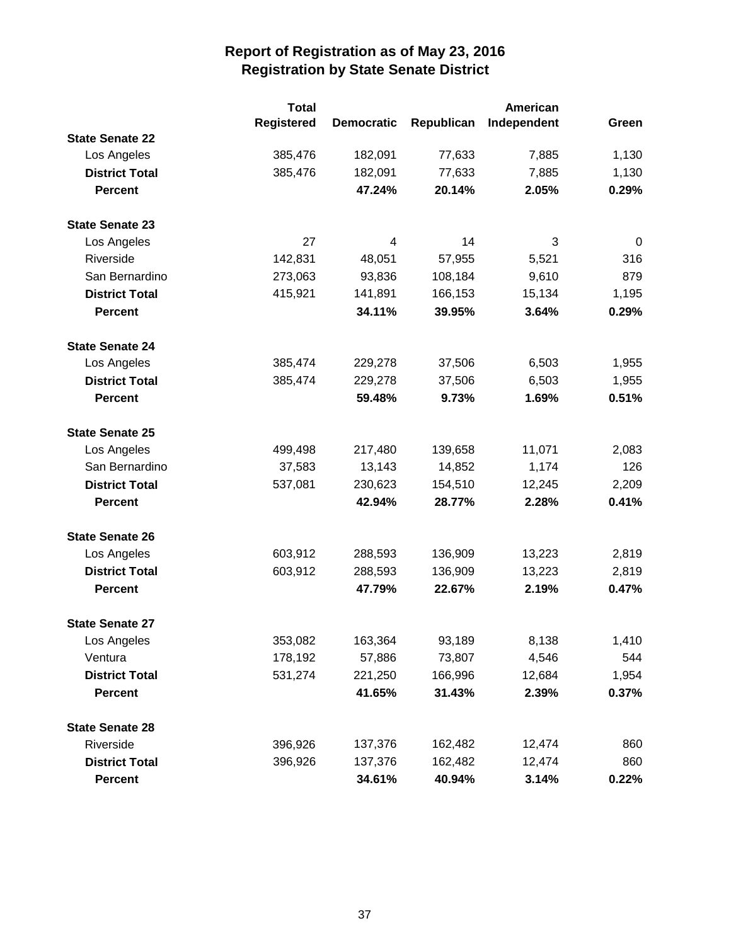|                        | <b>Total</b>      |                   |            | American    |       |
|------------------------|-------------------|-------------------|------------|-------------|-------|
|                        | <b>Registered</b> | <b>Democratic</b> | Republican | Independent | Green |
| <b>State Senate 22</b> |                   |                   |            |             |       |
| Los Angeles            | 385,476           | 182,091           | 77,633     | 7,885       | 1,130 |
| <b>District Total</b>  | 385,476           | 182,091           | 77,633     | 7,885       | 1,130 |
| <b>Percent</b>         |                   | 47.24%            | 20.14%     | 2.05%       | 0.29% |
| <b>State Senate 23</b> |                   |                   |            |             |       |
| Los Angeles            | 27                | 4                 | 14         | 3           | 0     |
| Riverside              | 142,831           | 48,051            | 57,955     | 5,521       | 316   |
| San Bernardino         | 273,063           | 93,836            | 108,184    | 9,610       | 879   |
| <b>District Total</b>  | 415,921           | 141,891           | 166,153    | 15,134      | 1,195 |
| <b>Percent</b>         |                   | 34.11%            | 39.95%     | 3.64%       | 0.29% |
| <b>State Senate 24</b> |                   |                   |            |             |       |
| Los Angeles            | 385,474           | 229,278           | 37,506     | 6,503       | 1,955 |
| <b>District Total</b>  | 385,474           | 229,278           | 37,506     | 6,503       | 1,955 |
| <b>Percent</b>         |                   | 59.48%            | 9.73%      | 1.69%       | 0.51% |
| <b>State Senate 25</b> |                   |                   |            |             |       |
| Los Angeles            | 499,498           | 217,480           | 139,658    | 11,071      | 2,083 |
| San Bernardino         | 37,583            | 13,143            | 14,852     | 1,174       | 126   |
| <b>District Total</b>  | 537,081           | 230,623           | 154,510    | 12,245      | 2,209 |
| <b>Percent</b>         |                   | 42.94%            | 28.77%     | 2.28%       | 0.41% |
| <b>State Senate 26</b> |                   |                   |            |             |       |
| Los Angeles            | 603,912           | 288,593           | 136,909    | 13,223      | 2,819 |
| <b>District Total</b>  | 603,912           | 288,593           | 136,909    | 13,223      | 2,819 |
| <b>Percent</b>         |                   | 47.79%            | 22.67%     | 2.19%       | 0.47% |
| <b>State Senate 27</b> |                   |                   |            |             |       |
| Los Angeles            | 353,082           | 163,364           | 93,189     | 8,138       | 1,410 |
| Ventura                | 178,192           | 57,886            | 73,807     | 4,546       | 544   |
| <b>District Total</b>  | 531,274           | 221,250           | 166,996    | 12,684      | 1,954 |
| <b>Percent</b>         |                   | 41.65%            | 31.43%     | 2.39%       | 0.37% |
| <b>State Senate 28</b> |                   |                   |            |             |       |
| Riverside              | 396,926           | 137,376           | 162,482    | 12,474      | 860   |
| <b>District Total</b>  | 396,926           | 137,376           | 162,482    | 12,474      | 860   |
| <b>Percent</b>         |                   | 34.61%            | 40.94%     | 3.14%       | 0.22% |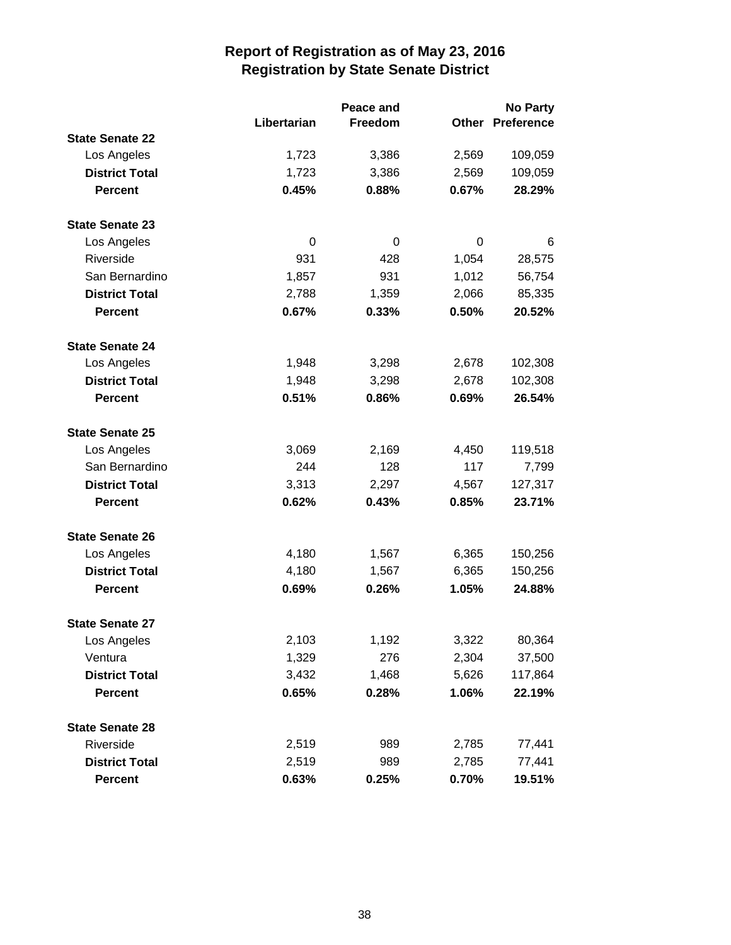|                        |             | Peace and |       | <b>No Party</b>   |  |
|------------------------|-------------|-----------|-------|-------------------|--|
|                        | Libertarian | Freedom   | Other | <b>Preference</b> |  |
| <b>State Senate 22</b> |             |           |       |                   |  |
| Los Angeles            | 1,723       | 3,386     | 2,569 | 109,059           |  |
| <b>District Total</b>  | 1,723       | 3,386     | 2,569 | 109,059           |  |
| <b>Percent</b>         | 0.45%       | 0.88%     | 0.67% | 28.29%            |  |
| <b>State Senate 23</b> |             |           |       |                   |  |
| Los Angeles            | $\Omega$    | 0         | 0     | 6                 |  |
| Riverside              | 931         | 428       | 1,054 | 28,575            |  |
| San Bernardino         | 1,857       | 931       | 1,012 | 56,754            |  |
| <b>District Total</b>  | 2,788       | 1,359     | 2,066 | 85,335            |  |
| <b>Percent</b>         | 0.67%       | 0.33%     | 0.50% | 20.52%            |  |
| <b>State Senate 24</b> |             |           |       |                   |  |
| Los Angeles            | 1,948       | 3,298     | 2,678 | 102,308           |  |
| <b>District Total</b>  | 1,948       | 3,298     | 2,678 | 102,308           |  |
| <b>Percent</b>         | 0.51%       | 0.86%     | 0.69% | 26.54%            |  |
| <b>State Senate 25</b> |             |           |       |                   |  |
| Los Angeles            | 3,069       | 2,169     | 4,450 | 119,518           |  |
| San Bernardino         | 244         | 128       | 117   | 7,799             |  |
| <b>District Total</b>  | 3,313       | 2,297     | 4,567 | 127,317           |  |
| <b>Percent</b>         | 0.62%       | 0.43%     | 0.85% | 23.71%            |  |
| <b>State Senate 26</b> |             |           |       |                   |  |
| Los Angeles            | 4,180       | 1,567     | 6,365 | 150,256           |  |
| <b>District Total</b>  | 4,180       | 1,567     | 6,365 | 150,256           |  |
| <b>Percent</b>         | 0.69%       | 0.26%     | 1.05% | 24.88%            |  |
| <b>State Senate 27</b> |             |           |       |                   |  |
| Los Angeles            | 2,103       | 1,192     | 3,322 | 80,364            |  |
| Ventura                | 1,329       | 276       | 2,304 | 37,500            |  |
| <b>District Total</b>  | 3,432       | 1,468     | 5,626 | 117,864           |  |
| <b>Percent</b>         | 0.65%       | 0.28%     | 1.06% | 22.19%            |  |
| <b>State Senate 28</b> |             |           |       |                   |  |
| Riverside              | 2,519       | 989       | 2,785 | 77,441            |  |
| <b>District Total</b>  | 2,519       | 989       | 2,785 | 77,441            |  |
| Percent                | 0.63%       | 0.25%     | 0.70% | 19.51%            |  |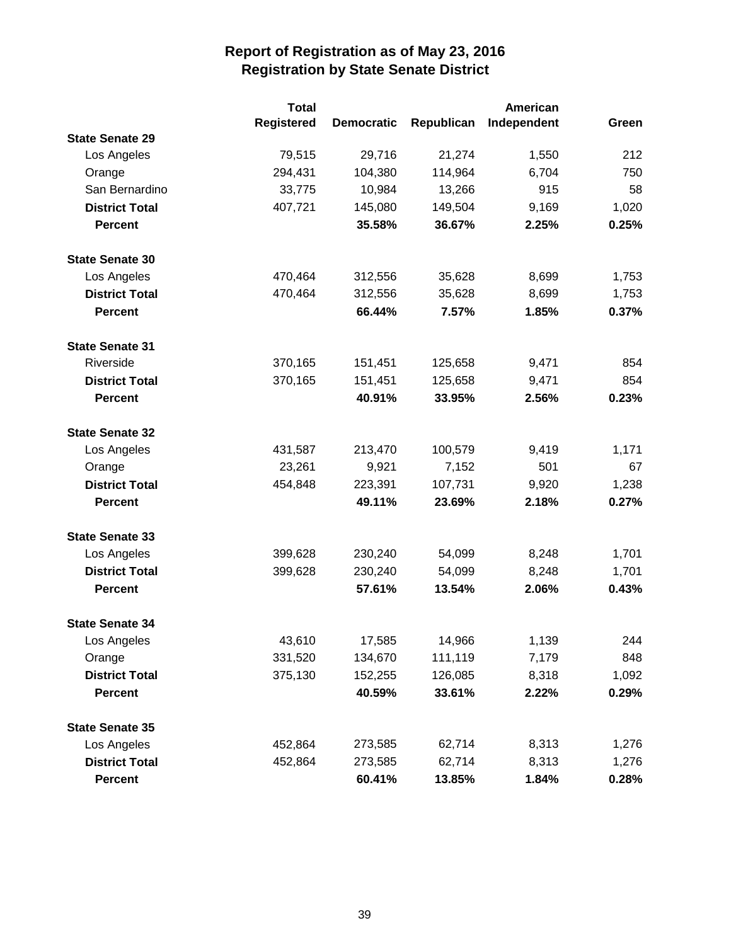|                        | <b>Total</b>      |                   |            | <b>American</b> |       |
|------------------------|-------------------|-------------------|------------|-----------------|-------|
|                        | <b>Registered</b> | <b>Democratic</b> | Republican | Independent     | Green |
| <b>State Senate 29</b> |                   |                   |            |                 |       |
| Los Angeles            | 79,515            | 29,716            | 21,274     | 1,550           | 212   |
| Orange                 | 294,431           | 104,380           | 114,964    | 6,704           | 750   |
| San Bernardino         | 33,775            | 10,984            | 13,266     | 915             | 58    |
| <b>District Total</b>  | 407,721           | 145,080           | 149,504    | 9,169           | 1,020 |
| <b>Percent</b>         |                   | 35.58%            | 36.67%     | 2.25%           | 0.25% |
| <b>State Senate 30</b> |                   |                   |            |                 |       |
| Los Angeles            | 470,464           | 312,556           | 35,628     | 8,699           | 1,753 |
| <b>District Total</b>  | 470,464           | 312,556           | 35,628     | 8,699           | 1,753 |
| <b>Percent</b>         |                   | 66.44%            | 7.57%      | 1.85%           | 0.37% |
| <b>State Senate 31</b> |                   |                   |            |                 |       |
| Riverside              | 370,165           | 151,451           | 125,658    | 9,471           | 854   |
| <b>District Total</b>  | 370,165           | 151,451           | 125,658    | 9,471           | 854   |
| <b>Percent</b>         |                   | 40.91%            | 33.95%     | 2.56%           | 0.23% |
| <b>State Senate 32</b> |                   |                   |            |                 |       |
| Los Angeles            | 431,587           | 213,470           | 100,579    | 9,419           | 1,171 |
| Orange                 | 23,261            | 9,921             | 7,152      | 501             | 67    |
| <b>District Total</b>  | 454,848           | 223,391           | 107,731    | 9,920           | 1,238 |
| <b>Percent</b>         |                   | 49.11%            | 23.69%     | 2.18%           | 0.27% |
| <b>State Senate 33</b> |                   |                   |            |                 |       |
| Los Angeles            | 399,628           | 230,240           | 54,099     | 8,248           | 1,701 |
| <b>District Total</b>  | 399,628           | 230,240           | 54,099     | 8,248           | 1,701 |
| <b>Percent</b>         |                   | 57.61%            | 13.54%     | 2.06%           | 0.43% |
| <b>State Senate 34</b> |                   |                   |            |                 |       |
| Los Angeles            | 43,610            | 17,585            | 14,966     | 1,139           | 244   |
| Orange                 | 331,520           | 134,670           | 111,119    | 7,179           | 848   |
| <b>District Total</b>  | 375,130           | 152,255           | 126,085    | 8,318           | 1,092 |
| <b>Percent</b>         |                   | 40.59%            | 33.61%     | 2.22%           | 0.29% |
| <b>State Senate 35</b> |                   |                   |            |                 |       |
| Los Angeles            | 452,864           | 273,585           | 62,714     | 8,313           | 1,276 |
| <b>District Total</b>  | 452,864           | 273,585           | 62,714     | 8,313           | 1,276 |
| <b>Percent</b>         |                   | 60.41%            | 13.85%     | 1.84%           | 0.28% |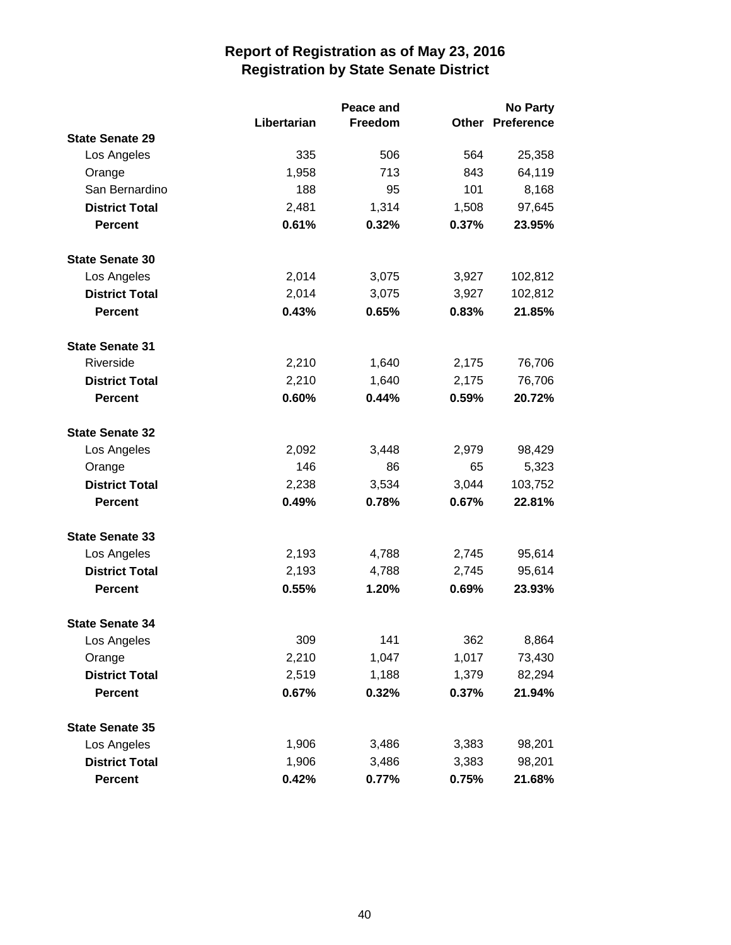|                        |             | Peace and |       | <b>No Party</b>         |
|------------------------|-------------|-----------|-------|-------------------------|
|                        | Libertarian | Freedom   |       | <b>Other Preference</b> |
| <b>State Senate 29</b> |             |           |       |                         |
| Los Angeles            | 335         | 506       | 564   | 25,358                  |
| Orange                 | 1,958       | 713       | 843   | 64,119                  |
| San Bernardino         | 188         | 95        | 101   | 8,168                   |
| <b>District Total</b>  | 2,481       | 1,314     | 1,508 | 97,645                  |
| <b>Percent</b>         | 0.61%       | 0.32%     | 0.37% | 23.95%                  |
| <b>State Senate 30</b> |             |           |       |                         |
| Los Angeles            | 2,014       | 3,075     | 3,927 | 102,812                 |
| <b>District Total</b>  | 2,014       | 3,075     | 3,927 | 102,812                 |
| <b>Percent</b>         | 0.43%       | 0.65%     | 0.83% | 21.85%                  |
| <b>State Senate 31</b> |             |           |       |                         |
| Riverside              | 2,210       | 1,640     | 2,175 | 76,706                  |
| <b>District Total</b>  | 2,210       | 1,640     | 2,175 | 76,706                  |
| <b>Percent</b>         | 0.60%       | 0.44%     | 0.59% | 20.72%                  |
| <b>State Senate 32</b> |             |           |       |                         |
| Los Angeles            | 2,092       | 3,448     | 2,979 | 98,429                  |
| Orange                 | 146         | 86        | 65    | 5,323                   |
| <b>District Total</b>  | 2,238       | 3,534     | 3,044 | 103,752                 |
| <b>Percent</b>         | 0.49%       | 0.78%     | 0.67% | 22.81%                  |
| <b>State Senate 33</b> |             |           |       |                         |
| Los Angeles            | 2,193       | 4,788     | 2,745 | 95,614                  |
| <b>District Total</b>  | 2,193       | 4,788     | 2,745 | 95,614                  |
| <b>Percent</b>         | 0.55%       | 1.20%     | 0.69% | 23.93%                  |
| <b>State Senate 34</b> |             |           |       |                         |
| Los Angeles            | 309         | 141       | 362   | 8,864                   |
| Orange                 | 2,210       | 1,047     | 1,017 | 73,430                  |
| <b>District Total</b>  | 2,519       | 1,188     | 1,379 | 82,294                  |
| <b>Percent</b>         | 0.67%       | 0.32%     | 0.37% | 21.94%                  |
| <b>State Senate 35</b> |             |           |       |                         |
| Los Angeles            | 1,906       | 3,486     | 3,383 | 98,201                  |
| <b>District Total</b>  | 1,906       | 3,486     | 3,383 | 98,201                  |
| Percent                | 0.42%       | 0.77%     | 0.75% | 21.68%                  |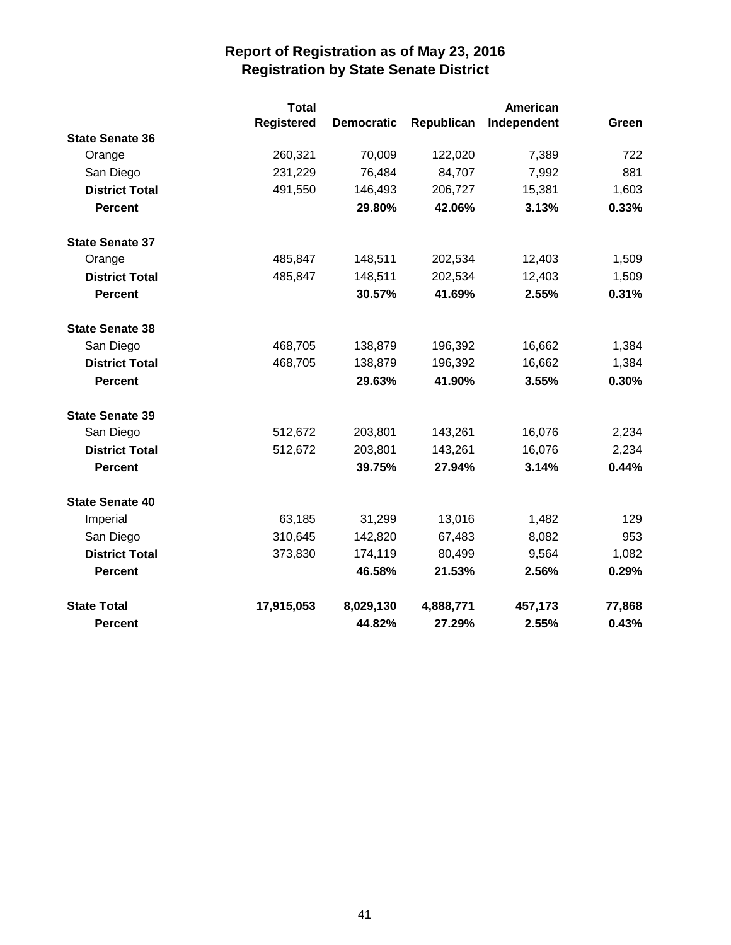|                        | <b>Total</b>      |                   |            | <b>American</b> |        |
|------------------------|-------------------|-------------------|------------|-----------------|--------|
|                        | <b>Registered</b> | <b>Democratic</b> | Republican | Independent     | Green  |
| <b>State Senate 36</b> |                   |                   |            |                 |        |
| Orange                 | 260,321           | 70,009            | 122,020    | 7,389           | 722    |
| San Diego              | 231,229           | 76,484            | 84,707     | 7,992           | 881    |
| <b>District Total</b>  | 491,550           | 146,493           | 206,727    | 15,381          | 1,603  |
| <b>Percent</b>         |                   | 29.80%            | 42.06%     | 3.13%           | 0.33%  |
| <b>State Senate 37</b> |                   |                   |            |                 |        |
| Orange                 | 485,847           | 148,511           | 202,534    | 12,403          | 1,509  |
| <b>District Total</b>  | 485,847           | 148,511           | 202,534    | 12,403          | 1,509  |
| <b>Percent</b>         |                   | 30.57%            | 41.69%     | 2.55%           | 0.31%  |
| <b>State Senate 38</b> |                   |                   |            |                 |        |
| San Diego              | 468,705           | 138,879           | 196,392    | 16,662          | 1,384  |
| <b>District Total</b>  | 468,705           | 138,879           | 196,392    | 16,662          | 1,384  |
| <b>Percent</b>         |                   | 29.63%            | 41.90%     | 3.55%           | 0.30%  |
| <b>State Senate 39</b> |                   |                   |            |                 |        |
| San Diego              | 512,672           | 203,801           | 143,261    | 16,076          | 2,234  |
| <b>District Total</b>  | 512,672           | 203,801           | 143,261    | 16,076          | 2,234  |
| <b>Percent</b>         |                   | 39.75%            | 27.94%     | 3.14%           | 0.44%  |
| <b>State Senate 40</b> |                   |                   |            |                 |        |
| Imperial               | 63,185            | 31,299            | 13,016     | 1,482           | 129    |
| San Diego              | 310,645           | 142,820           | 67,483     | 8,082           | 953    |
| <b>District Total</b>  | 373,830           | 174,119           | 80,499     | 9,564           | 1,082  |
| <b>Percent</b>         |                   | 46.58%            | 21.53%     | 2.56%           | 0.29%  |
| <b>State Total</b>     | 17,915,053        | 8,029,130         | 4,888,771  | 457,173         | 77,868 |
| <b>Percent</b>         |                   | 44.82%            | 27.29%     | 2.55%           | 0.43%  |